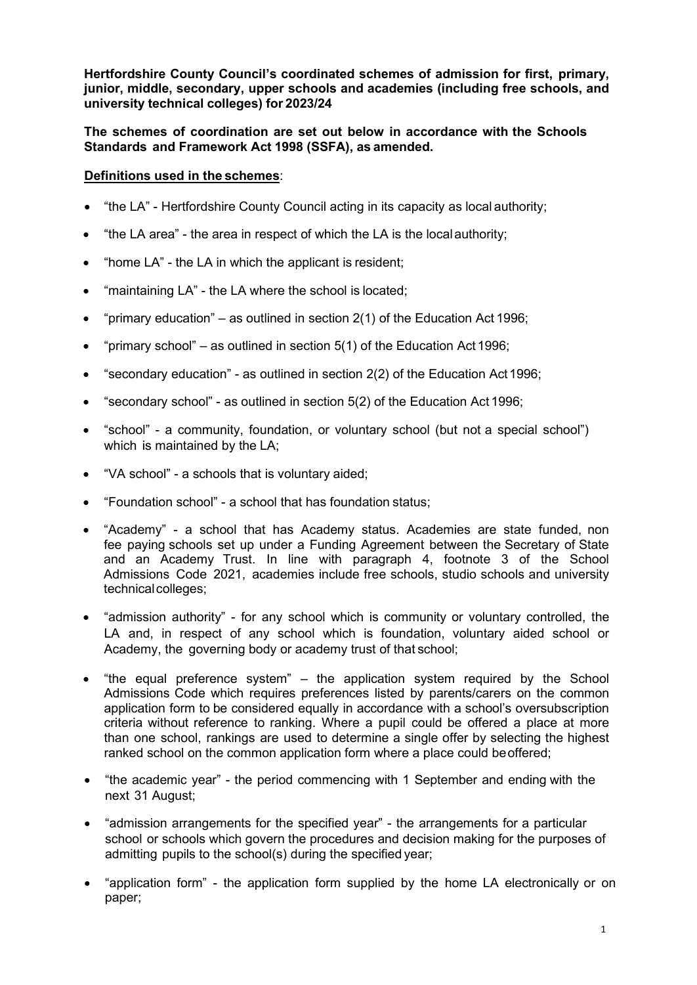**Hertfordshire County Council's coordinated schemes of admission for first, primary, junior, middle, secondary, upper schools and academies (including free schools, and university technical colleges) for 2023/24**

**The schemes of coordination are set out below in accordance with the Schools Standards and Framework Act 1998 (SSFA), as amended.**

## **Definitions used in the schemes**:

- "the LA" Hertfordshire County Council acting in its capacity as local authority;
- "the LA area" the area in respect of which the LA is the localauthority;
- "home LA" the LA in which the applicant is resident;
- "maintaining LA" the LA where the school is located;
- "primary education" as outlined in section  $2(1)$  of the Education Act 1996;
- "primary school" as outlined in section  $5(1)$  of the Education Act 1996;
- "secondary education" as outlined in section 2(2) of the Education Act1996;
- "secondary school" as outlined in section 5(2) of the Education Act 1996;
- "school" a community, foundation, or voluntary school (but not a special school") which is maintained by the LA;
- "VA school" a schools that is voluntary aided;
- "Foundation school" a school that has foundation status;
- "Academy" a school that has Academy status. Academies are state funded, non fee paying schools set up under a Funding Agreement between the Secretary of State and an Academy Trust. In line with paragraph 4, footnote 3 of the School Admissions Code 2021, academies include free schools, studio schools and university technical colleges;
- "admission authority" for any school which is community or voluntary controlled, the LA and, in respect of any school which is foundation, voluntary aided school or Academy, the governing body or academy trust of that school;
- "the equal preference system" the application system required by the School Admissions Code which requires preferences listed by parents/carers on the common application form to be considered equally in accordance with a school's oversubscription criteria without reference to ranking. Where a pupil could be offered a place at more than one school, rankings are used to determine a single offer by selecting the highest ranked school on the common application form where a place could beoffered;
- "the academic year" the period commencing with 1 September and ending with the next 31 August;
- "admission arrangements for the specified year" the arrangements for a particular school or schools which govern the procedures and decision making for the purposes of admitting pupils to the school(s) during the specified year;
- "application form" the application form supplied by the home LA electronically or on paper;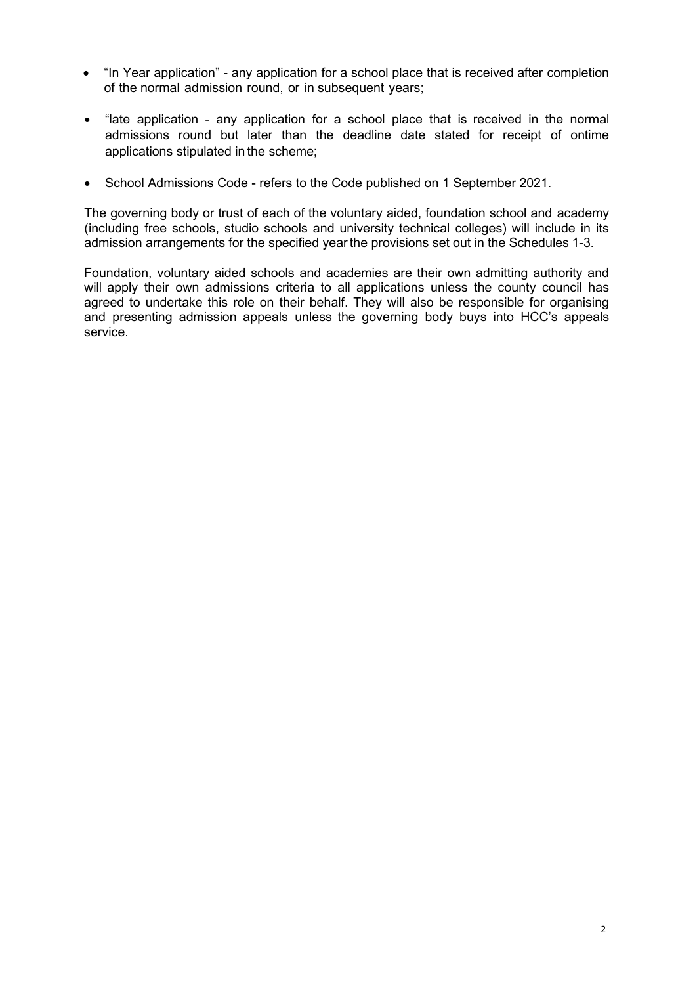- "In Year application" any application for a school place that is received after completion of the normal admission round, or in subsequent years;
- "late application any application for a school place that is received in the normal admissions round but later than the deadline date stated for receipt of ontime applications stipulated in the scheme;
- School Admissions Code refers to the Code published on 1 September 2021.

The governing body or trust of each of the voluntary aided, foundation school and academy (including free schools, studio schools and university technical colleges) will include in its admission arrangements for the specified year the provisions set out in the Schedules 1-3.

Foundation, voluntary aided schools and academies are their own admitting authority and will apply their own admissions criteria to all applications unless the county council has agreed to undertake this role on their behalf. They will also be responsible for organising and presenting admission appeals unless the governing body buys into HCC's appeals service.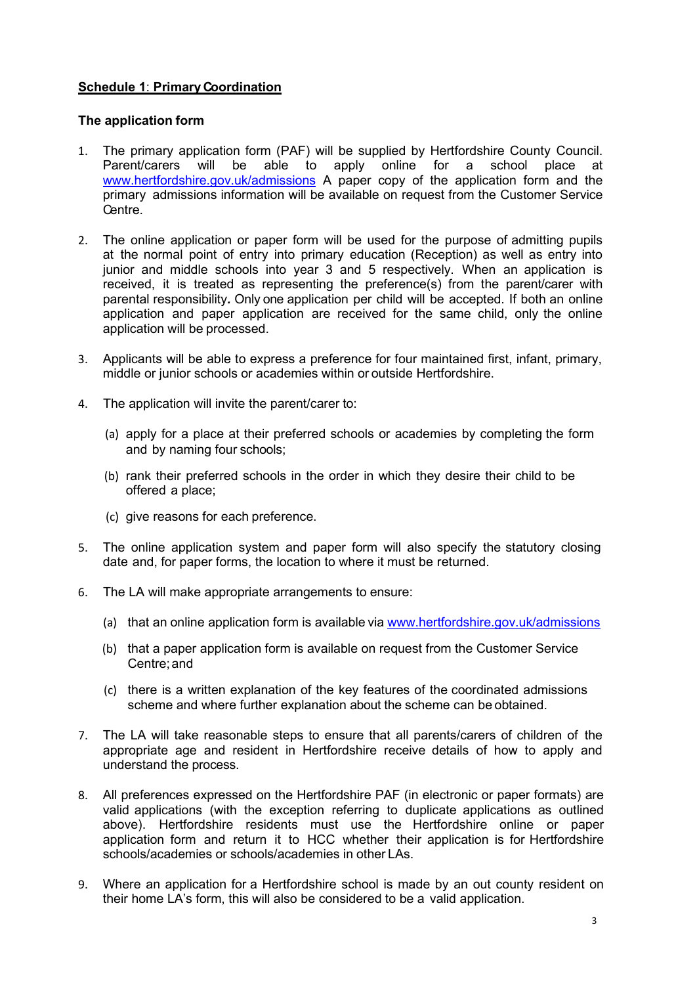# **Schedule 1**: **Primary Coordination**

## **The application form**

- 1. The primary application form (PAF) will be supplied by Hertfordshire County Council.<br>Parent/carers will be able to apply online for a school place at Parent/carers will be able to apply online for a school place at [www.hertfordshire.gov.uk/admissions](http://www.hertfordshire.gov.uk/admissions) A paper copy of the application form and the primary admissions information will be available on request from the Customer Service Centre.
- 2. The online application or paper form will be used for the purpose of admitting pupils at the normal point of entry into primary education (Reception) as well as entry into junior and middle schools into year 3 and 5 respectively. When an application is received, it is treated as representing the preference(s) from the parent/carer with parental responsibility*.* Only one application per child will be accepted. If both an online application and paper application are received for the same child, only the online application will be processed.
- 3. Applicants will be able to express a preference for four maintained first, infant, primary, middle or junior schools or academies within or outside Hertfordshire.
- 4. The application will invite the parent/carer to:
	- (a) apply for a place at their preferred schools or academies by completing the form and by naming four schools;
	- (b) rank their preferred schools in the order in which they desire their child to be offered a place;
	- (c) give reasons for each preference.
- 5. The online application system and paper form will also specify the statutory closing date and, for paper forms, the location to where it must be returned.
- 6. The LA will make appropriate arrangements to ensure:
	- (a) that an online application form is available via [www.hertfordshire.gov.uk/admissio](http://www.hertfordshire.gov.uk/admissions)ns
	- (b) that a paper application form is available on request from the Customer Service Centre;and
	- (c) there is a written explanation of the key features of the coordinated admissions scheme and where further explanation about the scheme can be obtained.
- 7. The LA will take reasonable steps to ensure that all parents/carers of children of the appropriate age and resident in Hertfordshire receive details of how to apply and understand the process.
- 8. All preferences expressed on the Hertfordshire PAF (in electronic or paper formats) are valid applications (with the exception referring to duplicate applications as outlined above). Hertfordshire residents must use the Hertfordshire online or paper application form and return it to HCC whether their application is for Hertfordshire schools/academies or schools/academies in other LAs.
- 9. Where an application for a Hertfordshire school is made by an out county resident on their home LA's form, this will also be considered to be a valid application.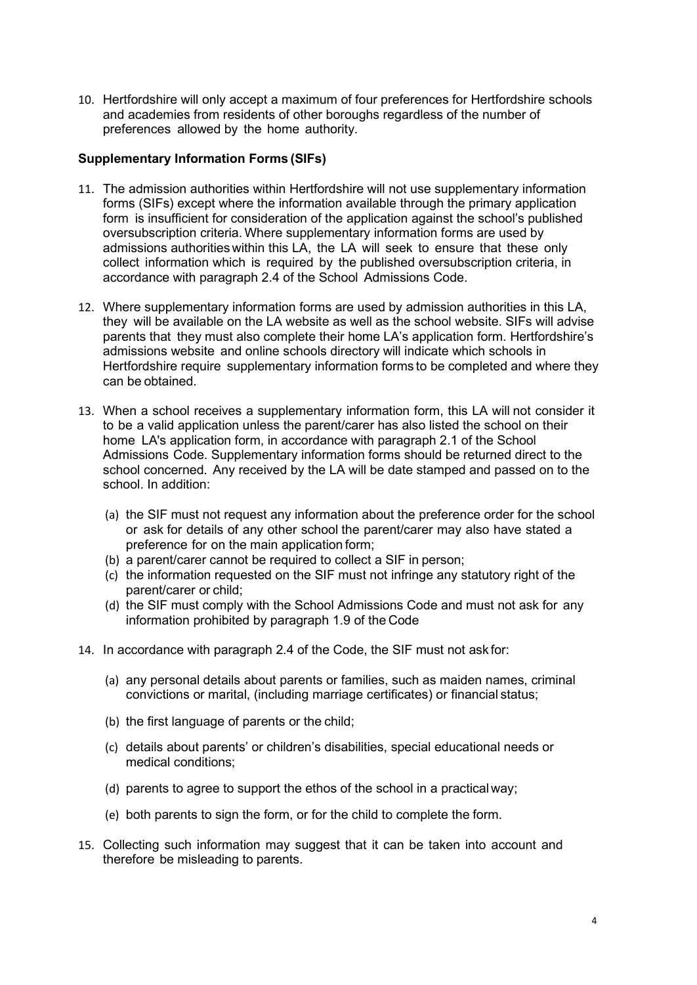10. Hertfordshire will only accept a maximum of four preferences for Hertfordshire schools and academies from residents of other boroughs regardless of the number of preferences allowed by the home authority.

### **Supplementary Information Forms (SIFs)**

- 11. The admission authorities within Hertfordshire will not use supplementary information forms (SIFs) except where the information available through the primary application form is insufficient for consideration of the application against the school's published oversubscription criteria. Where supplementary information forms are used by admissions authorities within this LA, the LA will seek to ensure that these only collect information which is required by the published oversubscription criteria, in accordance with paragraph 2.4 of the School Admissions Code.
- 12. Where supplementary information forms are used by admission authorities in this LA, they will be available on the LA website as well as the school website. SIFs will advise parents that they must also complete their home LA's application form. Hertfordshire's admissions website and online schools directory will indicate which schools in Hertfordshire require supplementary information forms to be completed and where they can be obtained.
- 13. When a school receives a supplementary information form, this LA will not consider it to be a valid application unless the parent/carer has also listed the school on their home LA's application form, in accordance with paragraph 2.1 of the School Admissions Code. Supplementary information forms should be returned direct to the school concerned. Any received by the LA will be date stamped and passed on to the school. In addition:
	- (a) the SIF must not request any information about the preference order for the school or ask for details of any other school the parent/carer may also have stated a preference for on the main application form;
	- (b) a parent/carer cannot be required to collect a SIF in person;
	- (c) the information requested on the SIF must not infringe any statutory right of the parent/carer or child;
	- (d) the SIF must comply with the School Admissions Code and must not ask for any information prohibited by paragraph 1.9 of the Code
- 14. In accordance with paragraph 2.4 of the Code, the SIF must not ask for:
	- (a) any personal details about parents or families, such as maiden names, criminal convictions or marital, (including marriage certificates) or financial status;
	- (b) the first language of parents or the child;
	- (c) details about parents' or children's disabilities, special educational needs or medical conditions;
	- (d) parents to agree to support the ethos of the school in a practical way;
	- (e) both parents to sign the form, or for the child to complete the form.
- 15. Collecting such information may suggest that it can be taken into account and therefore be misleading to parents.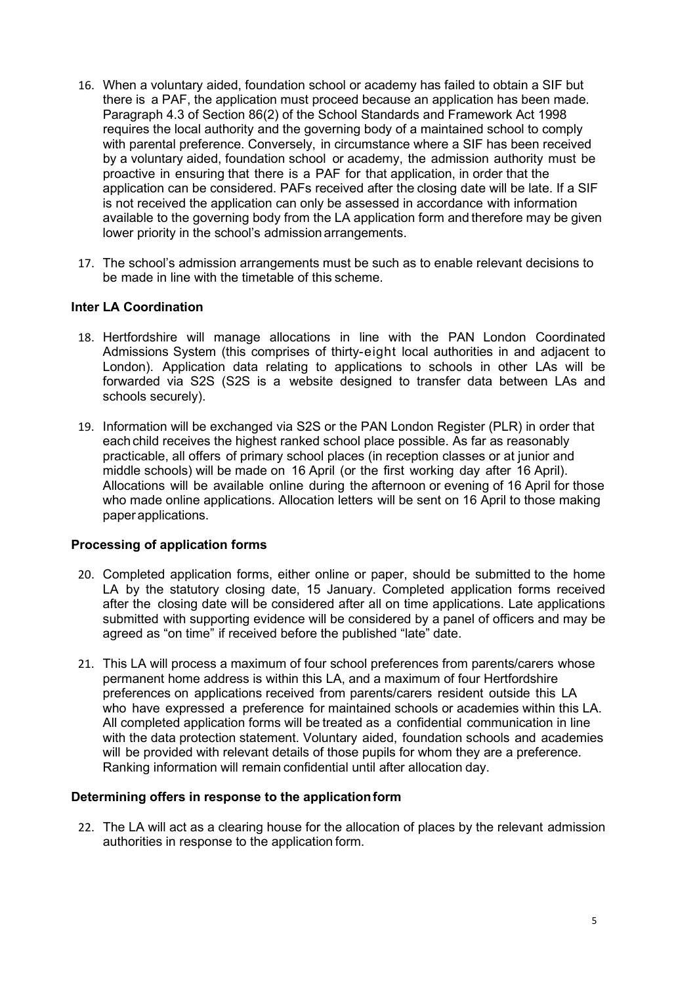- 16. When a voluntary aided, foundation school or academy has failed to obtain a SIF but there is a PAF, the application must proceed because an application has been made. Paragraph 4.3 of Section 86(2) of the School Standards and Framework Act 1998 requires the local authority and the governing body of a maintained school to comply with parental preference. Conversely, in circumstance where a SIF has been received by a voluntary aided, foundation school or academy, the admission authority must be proactive in ensuring that there is a PAF for that application, in order that the application can be considered. PAFs received after the closing date will be late. If a SIF is not received the application can only be assessed in accordance with information available to the governing body from the LA application form and therefore may be given lower priority in the school's admission arrangements.
- 17. The school's admission arrangements must be such as to enable relevant decisions to be made in line with the timetable of this scheme.

### **Inter LA Coordination**

- 18. Hertfordshire will manage allocations in line with the PAN London Coordinated Admissions System (this comprises of thirty-eight local authorities in and adjacent to London). Application data relating to applications to schools in other LAs will be forwarded via S2S (S2S is a website designed to transfer data between LAs and schools securely).
- 19. Information will be exchanged via S2S or the PAN London Register (PLR) in order that each child receives the highest ranked school place possible. As far as reasonably practicable, all offers of primary school places (in reception classes or at junior and middle schools) will be made on 16 April (or the first working day after 16 April). Allocations will be available online during the afternoon or evening of 16 April for those who made online applications. Allocation letters will be sent on 16 April to those making paper applications.

#### **Processing of application forms**

- 20. Completed application forms, either online or paper, should be submitted to the home LA by the statutory closing date, 15 January. Completed application forms received after the closing date will be considered after all on time applications. Late applications submitted with supporting evidence will be considered by a panel of officers and may be agreed as "on time" if received before the published "late" date.
- 21. This LA will process a maximum of four school preferences from parents/carers whose permanent home address is within this LA, and a maximum of four Hertfordshire preferences on applications received from parents/carers resident outside this LA who have expressed a preference for maintained schools or academies within this LA. All completed application forms will be treated as a confidential communication in line with the data protection statement. Voluntary aided, foundation schools and academies will be provided with relevant details of those pupils for whom they are a preference. Ranking information will remain confidential until after allocation day.

#### **Determining offers in response to the applicationform**

22. The LA will act as a clearing house for the allocation of places by the relevant admission authorities in response to the application form.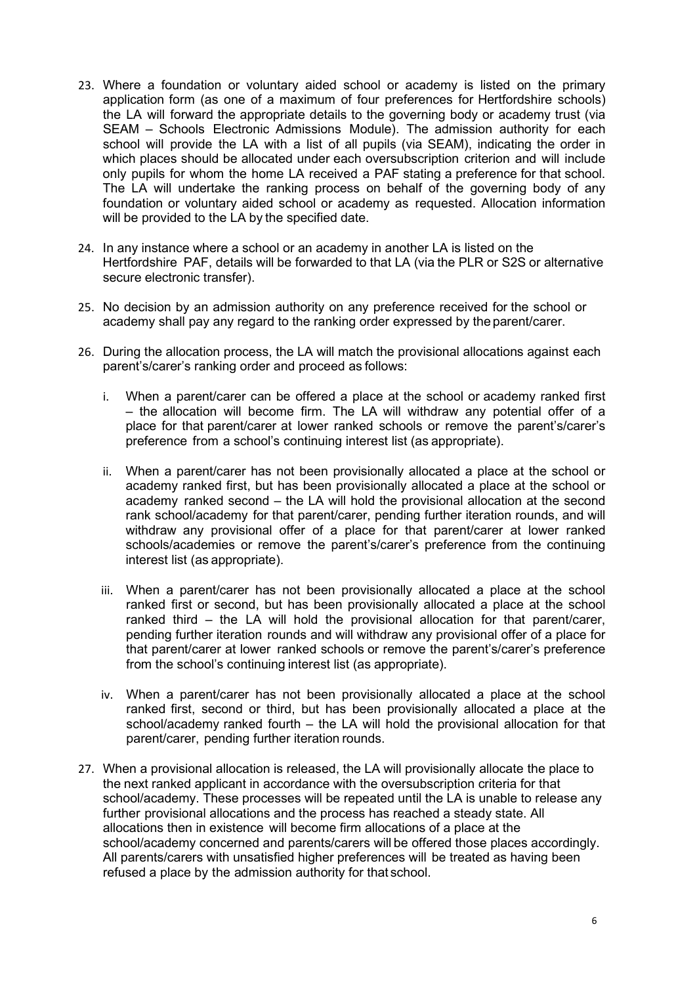- 23. Where a foundation or voluntary aided school or academy is listed on the primary application form (as one of a maximum of four preferences for Hertfordshire schools) the LA will forward the appropriate details to the governing body or academy trust (via SEAM – Schools Electronic Admissions Module). The admission authority for each school will provide the LA with a list of all pupils (via SEAM), indicating the order in which places should be allocated under each oversubscription criterion and will include only pupils for whom the home LA received a PAF stating a preference for that school. The LA will undertake the ranking process on behalf of the governing body of any foundation or voluntary aided school or academy as requested. Allocation information will be provided to the LA by the specified date.
- 24. In any instance where a school or an academy in another LA is listed on the Hertfordshire PAF, details will be forwarded to that LA (via the PLR or S2S or alternative secure electronic transfer).
- 25. No decision by an admission authority on any preference received for the school or academy shall pay any regard to the ranking order expressed by the parent/carer.
- 26. During the allocation process, the LA will match the provisional allocations against each parent's/carer's ranking order and proceed as follows:
	- i. When a parent/carer can be offered a place at the school or academy ranked first – the allocation will become firm. The LA will withdraw any potential offer of a place for that parent/carer at lower ranked schools or remove the parent's/carer's preference from a school's continuing interest list (as appropriate).
	- ii. When a parent/carer has not been provisionally allocated a place at the school or academy ranked first, but has been provisionally allocated a place at the school or academy ranked second – the LA will hold the provisional allocation at the second rank school/academy for that parent/carer, pending further iteration rounds, and will withdraw any provisional offer of a place for that parent/carer at lower ranked schools/academies or remove the parent's/carer's preference from the continuing interest list (as appropriate).
	- iii. When a parent/carer has not been provisionally allocated a place at the school ranked first or second, but has been provisionally allocated a place at the school ranked third – the LA will hold the provisional allocation for that parent/carer, pending further iteration rounds and will withdraw any provisional offer of a place for that parent/carer at lower ranked schools or remove the parent's/carer's preference from the school's continuing interest list (as appropriate).
	- iv. When a parent/carer has not been provisionally allocated a place at the school ranked first, second or third, but has been provisionally allocated a place at the school/academy ranked fourth – the LA will hold the provisional allocation for that parent/carer, pending further iteration rounds.
- 27. When a provisional allocation is released, the LA will provisionally allocate the place to the next ranked applicant in accordance with the oversubscription criteria for that school/academy. These processes will be repeated until the LA is unable to release any further provisional allocations and the process has reached a steady state. All allocations then in existence will become firm allocations of a place at the school/academy concerned and parents/carers will be offered those places accordingly. All parents/carers with unsatisfied higher preferences will be treated as having been refused a place by the admission authority for that school.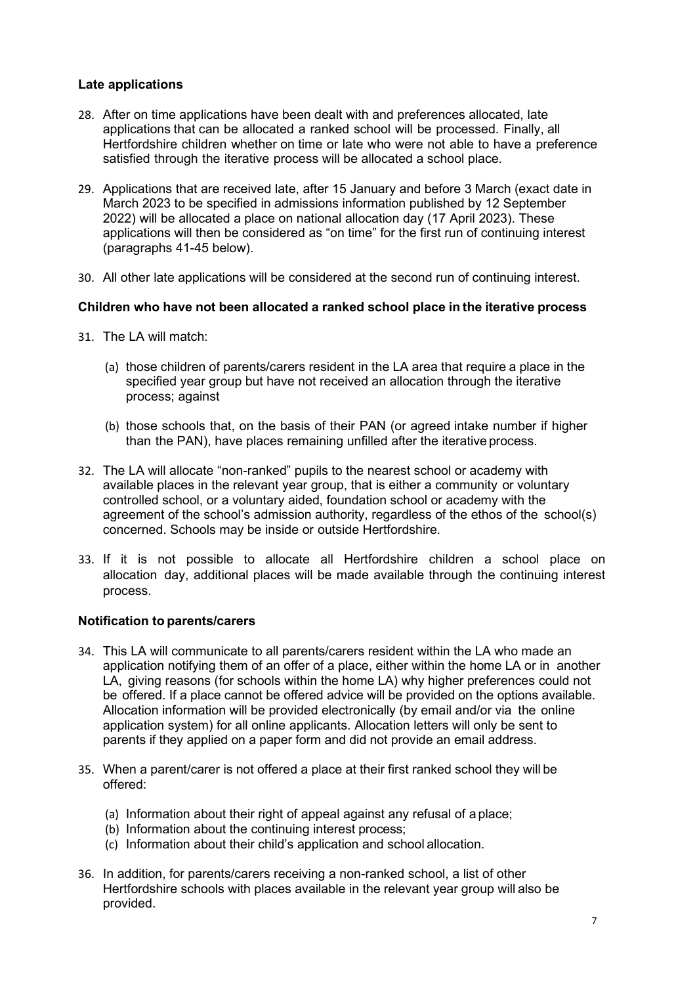## **Late applications**

- 28. After on time applications have been dealt with and preferences allocated, late applications that can be allocated a ranked school will be processed. Finally, all Hertfordshire children whether on time or late who were not able to have a preference satisfied through the iterative process will be allocated a school place.
- 29. Applications that are received late, after 15 January and before 3 March (exact date in March 2023 to be specified in admissions information published by 12 September 2022) will be allocated a place on national allocation day (17 April 2023). These applications will then be considered as "on time" for the first run of continuing interest (paragraphs 41-45 below).
- 30. All other late applications will be considered at the second run of continuing interest.

### **Children who have not been allocated a ranked school place in the iterative process**

- 31. The LA will match:
	- (a) those children of parents/carers resident in the LA area that require a place in the specified year group but have not received an allocation through the iterative process; against
	- (b) those schools that, on the basis of their PAN (or agreed intake number if higher than the PAN), have places remaining unfilled after the iterative process.
- 32. The LA will allocate "non-ranked" pupils to the nearest school or academy with available places in the relevant year group, that is either a community or voluntary controlled school, or a voluntary aided, foundation school or academy with the agreement of the school's admission authority, regardless of the ethos of the school(s) concerned. Schools may be inside or outside Hertfordshire.
- 33. If it is not possible to allocate all Hertfordshire children a school place on allocation day, additional places will be made available through the continuing interest process.

### **Notification to parents/carers**

- 34. This LA will communicate to all parents/carers resident within the LA who made an application notifying them of an offer of a place, either within the home LA or in another LA, giving reasons (for schools within the home LA) why higher preferences could not be offered. If a place cannot be offered advice will be provided on the options available. Allocation information will be provided electronically (by email and/or via the online application system) for all online applicants. Allocation letters will only be sent to parents if they applied on a paper form and did not provide an email address.
- 35. When a parent/carer is not offered a place at their first ranked school they will be offered:
	- (a) Information about their right of appeal against any refusal of a place:
	- (b) Information about the continuing interest process;
	- (c) Information about their child's application and school allocation.
- 36. In addition, for parents/carers receiving a non-ranked school, a list of other Hertfordshire schools with places available in the relevant year group will also be provided.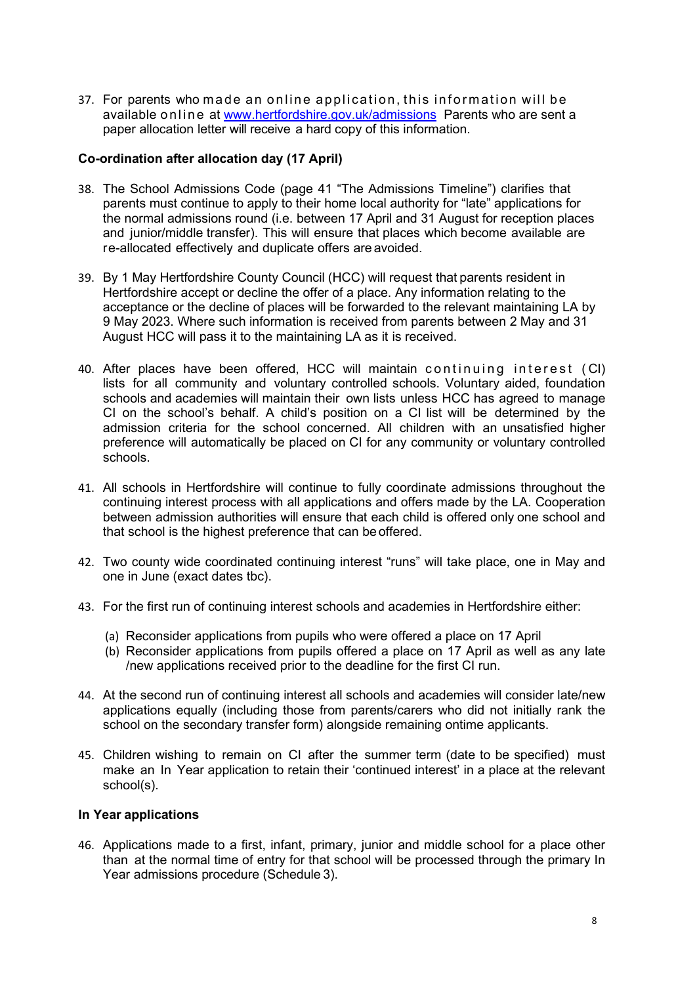37. For parents who made an online application, this information will be available online at www.hertfordshire.gov.uk/admissions Parents who are sent a paper allocation letter will receive a hard copy of this information.

### **Co-ordination after allocation day (17 April)**

- 38. The School Admissions Code (page 41 "The Admissions Timeline") clarifies that parents must continue to apply to their home local authority for "late" applications for the normal admissions round (i.e. between 17 April and 31 August for reception places and junior/middle transfer). This will ensure that places which become available are re-allocated effectively and duplicate offers are avoided.
- 39. By 1 May Hertfordshire County Council (HCC) will request that parents resident in Hertfordshire accept or decline the offer of a place. Any information relating to the acceptance or the decline of places will be forwarded to the relevant maintaining LA by 9 May 2023. Where such information is received from parents between 2 May and 31 August HCC will pass it to the maintaining LA as it is received.
- 40. After places have been offered, HCC will maintain continuing interest ( CI) lists for all community and voluntary controlled schools. Voluntary aided, foundation schools and academies will maintain their own lists unless HCC has agreed to manage CI on the school's behalf. A child's position on a CI list will be determined by the admission criteria for the school concerned. All children with an unsatisfied higher preference will automatically be placed on CI for any community or voluntary controlled schools.
- 41. All schools in Hertfordshire will continue to fully coordinate admissions throughout the continuing interest process with all applications and offers made by the LA. Cooperation between admission authorities will ensure that each child is offered only one school and that school is the highest preference that can be offered.
- 42. Two county wide coordinated continuing interest "runs" will take place, one in May and one in June (exact dates tbc).
- 43. For the first run of continuing interest schools and academies in Hertfordshire either:
	- (a) Reconsider applications from pupils who were offered a place on 17 April
	- (b) Reconsider applications from pupils offered a place on 17 April as well as any late /new applications received prior to the deadline for the first CI run.
- 44. At the second run of continuing interest all schools and academies will consider late/new applications equally (including those from parents/carers who did not initially rank the school on the secondary transfer form) alongside remaining ontime applicants.
- 45. Children wishing to remain on CI after the summer term (date to be specified) must make an In Year application to retain their 'continued interest' in a place at the relevant school(s).

#### **In Year applications**

46. Applications made to a first, infant, primary, junior and middle school for a place other than at the normal time of entry for that school will be processed through the primary In Year admissions procedure (Schedule 3).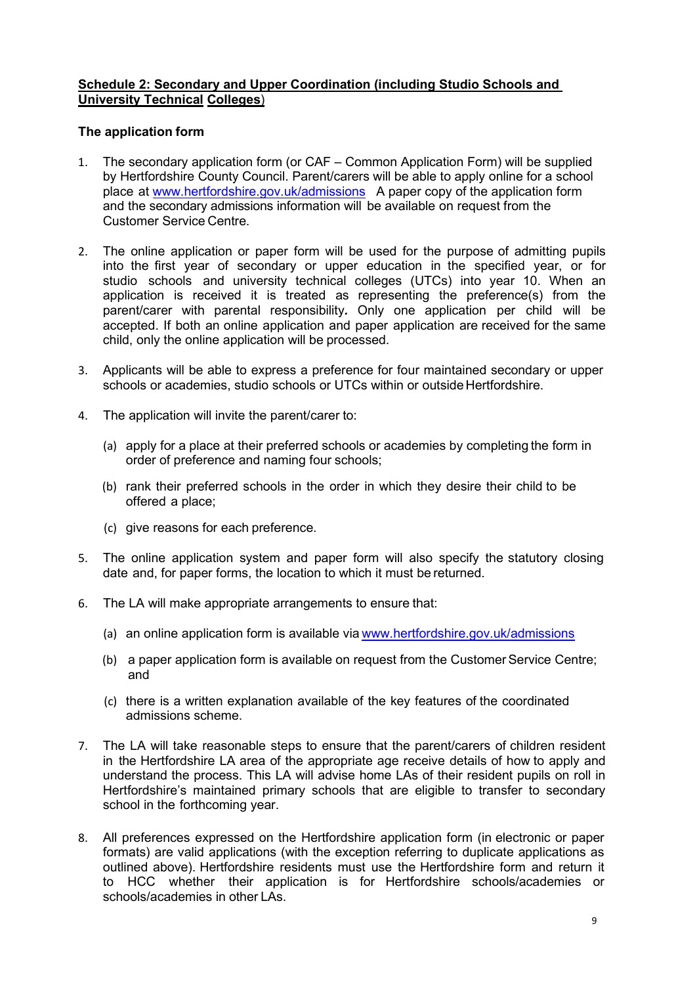## **Schedule 2: Secondary and Upper Coordination (including Studio Schools and University Technical Colleges**)

### **The application form**

- 1. The secondary application form (or CAF Common Application Form) will be supplied by Hertfordshire County Council. Parent/carers will be able to apply online for a school place at [www.hertfordshire.gov.uk/admissions](http://www.hertfordshire.gov.uk/admissions) A paper copy of the application form and the secondary admissions information will be available on request from the Customer Service Centre.
- 2. The online application or paper form will be used for the purpose of admitting pupils into the first year of secondary or upper education in the specified year, or for studio schools and university technical colleges (UTCs) into year 10. When an application is received it is treated as representing the preference(s) from the parent/carer with parental responsibility*.* Only one application per child will be accepted. If both an online application and paper application are received for the same child, only the online application will be processed.
- 3. Applicants will be able to express a preference for four maintained secondary or upper schools or academies, studio schools or UTCs within or outside Hertfordshire.
- 4. The application will invite the parent/carer to:
	- (a) apply for a place at their preferred schools or academies by completing the form in order of preference and naming four schools;
	- (b) rank their preferred schools in the order in which they desire their child to be offered a place;
	- (c) give reasons for each preference.
- 5. The online application system and paper form will also specify the statutory closing date and, for paper forms, the location to which it must be returned.
- 6. The LA will make appropriate arrangements to ensure that:
	- (a) an online application form is available via [www.hertfordshire.gov.uk/admissions](http://www.hertfordshire.gov.uk/admissions)
	- (b) a paper application form is available on request from the Customer Service Centre; and
	- (c) there is a written explanation available of the key features of the coordinated admissions scheme.
- 7. The LA will take reasonable steps to ensure that the parent/carers of children resident in the Hertfordshire LA area of the appropriate age receive details of how to apply and understand the process. This LA will advise home LAs of their resident pupils on roll in Hertfordshire's maintained primary schools that are eligible to transfer to secondary school in the forthcoming year.
- 8. All preferences expressed on the Hertfordshire application form (in electronic or paper formats) are valid applications (with the exception referring to duplicate applications as outlined above). Hertfordshire residents must use the Hertfordshire form and return it to HCC whether their application is for Hertfordshire schools/academies or schools/academies in other LAs.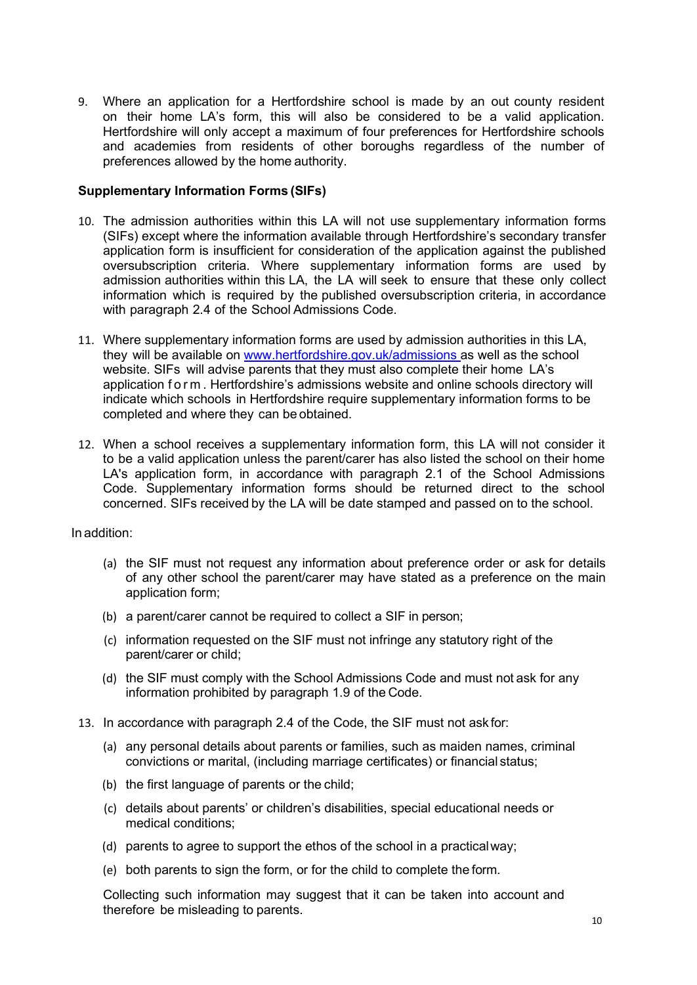9. Where an application for a Hertfordshire school is made by an out county resident on their home LA's form, this will also be considered to be a valid application. Hertfordshire will only accept a maximum of four preferences for Hertfordshire schools and academies from residents of other boroughs regardless of the number of preferences allowed by the home authority.

### **Supplementary Information Forms (SIFs)**

- 10. The admission authorities within this LA will not use supplementary information forms (SIFs) except where the information available through Hertfordshire's secondary transfer application form is insufficient for consideration of the application against the published oversubscription criteria. Where supplementary information forms are used by admission authorities within this LA, the LA will seek to ensure that these only collect information which is required by the published oversubscription criteria, in accordance with paragraph 2.4 of the School Admissions Code.
- 11. Where supplementary information forms are used by admission authorities in this LA, they will be available on [www.hertfordshire.gov.uk/admissions a](http://www.hertfordshire.gov.uk/admissions)s well as the school website. SIFs will advise parents that they must also complete their home LA's application form . Hertfordshire's admissions website and online schools directory will indicate which schools in Hertfordshire require supplementary information forms to be completed and where they can be obtained.
- 12. When a school receives a supplementary information form, this LA will not consider it to be a valid application unless the parent/carer has also listed the school on their home LA's application form, in accordance with paragraph 2.1 of the School Admissions Code. Supplementary information forms should be returned direct to the school concerned. SIFs received by the LA will be date stamped and passed on to the school.

In addition:

- (a) the SIF must not request any information about preference order or ask for details of any other school the parent/carer may have stated as a preference on the main application form;
- (b) a parent/carer cannot be required to collect a SIF in person;
- (c) information requested on the SIF must not infringe any statutory right of the parent/carer or child;
- (d) the SIF must comply with the School Admissions Code and must not ask for any information prohibited by paragraph 1.9 of the Code.
- 13. In accordance with paragraph 2.4 of the Code, the SIF must not ask for:
	- (a) any personal details about parents or families, such as maiden names, criminal convictions or marital, (including marriage certificates) or financial status;
	- (b) the first language of parents or the child;
	- (c) details about parents' or children's disabilities, special educational needs or medical conditions;
	- (d) parents to agree to support the ethos of the school in a practicalway;
	- (e) both parents to sign the form, or for the child to complete the form.

Collecting such information may suggest that it can be taken into account and therefore be misleading to parents.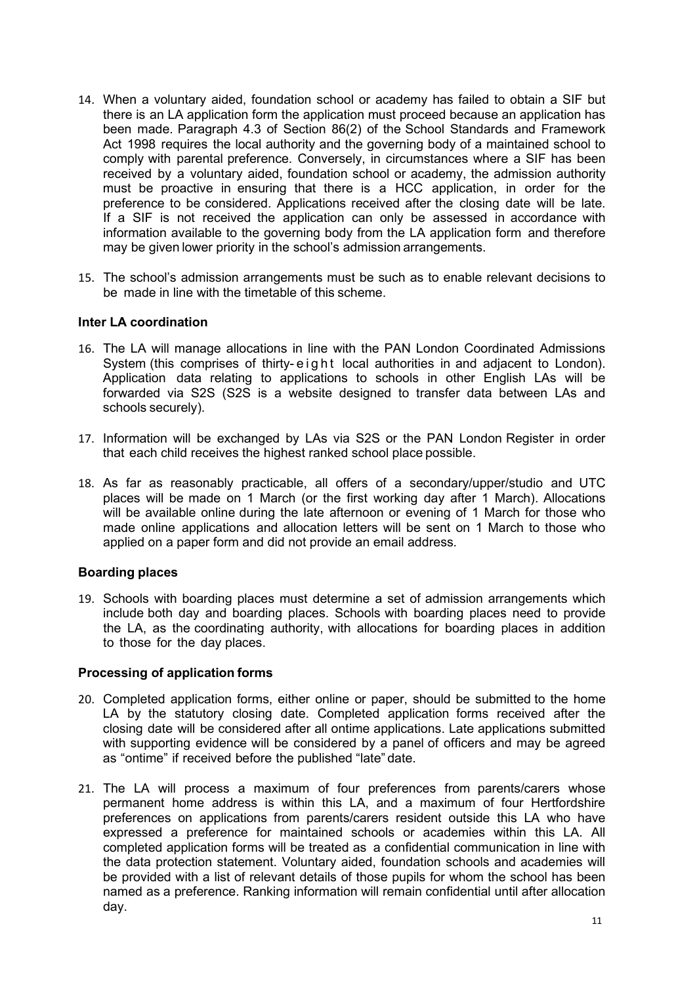- 14. When a voluntary aided, foundation school or academy has failed to obtain a SIF but there is an LA application form the application must proceed because an application has been made. Paragraph 4.3 of Section 86(2) of the School Standards and Framework Act 1998 requires the local authority and the governing body of a maintained school to comply with parental preference. Conversely, in circumstances where a SIF has been received by a voluntary aided, foundation school or academy, the admission authority must be proactive in ensuring that there is a HCC application, in order for the preference to be considered. Applications received after the closing date will be late. If a SIF is not received the application can only be assessed in accordance with information available to the governing body from the LA application form and therefore may be given lower priority in the school's admission arrangements.
- 15. The school's admission arrangements must be such as to enable relevant decisions to be made in line with the timetable of this scheme.

### **Inter LA coordination**

- 16. The LA will manage allocations in line with the PAN London Coordinated Admissions System (this comprises of thirty- eight local authorities in and adjacent to London). Application data relating to applications to schools in other English LAs will be forwarded via S2S (S2S is a website designed to transfer data between LAs and schools securely).
- 17. Information will be exchanged by LAs via S2S or the PAN London Register in order that each child receives the highest ranked school place possible.
- 18. As far as reasonably practicable, all offers of a secondary/upper/studio and UTC places will be made on 1 March (or the first working day after 1 March). Allocations will be available online during the late afternoon or evening of 1 March for those who made online applications and allocation letters will be sent on 1 March to those who applied on a paper form and did not provide an email address.

#### **Boarding places**

19. Schools with boarding places must determine a set of admission arrangements which include both day and boarding places. Schools with boarding places need to provide the LA, as the coordinating authority, with allocations for boarding places in addition to those for the day places.

#### **Processing of application forms**

- 20. Completed application forms, either online or paper, should be submitted to the home LA by the statutory closing date. Completed application forms received after the closing date will be considered after all ontime applications. Late applications submitted with supporting evidence will be considered by a panel of officers and may be agreed as "ontime" if received before the published "late" date.
- 21. The LA will process a maximum of four preferences from parents/carers whose permanent home address is within this LA, and a maximum of four Hertfordshire preferences on applications from parents/carers resident outside this LA who have expressed a preference for maintained schools or academies within this LA. All completed application forms will be treated as a confidential communication in line with the data protection statement. Voluntary aided, foundation schools and academies will be provided with a list of relevant details of those pupils for whom the school has been named as a preference. Ranking information will remain confidential until after allocation day.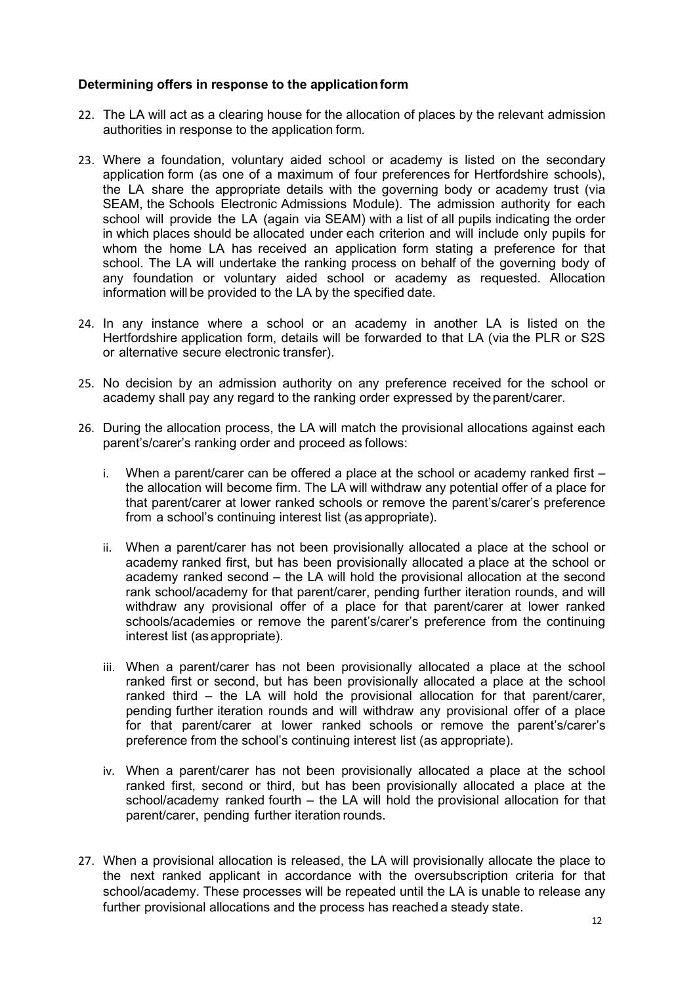## **Determining offers in response to the applicationform**

- 22. The LA will act as a clearing house for the allocation of places by the relevant admission authorities in response to the application form.
- 23. Where a foundation, voluntary aided school or academy is listed on the secondary application form (as one of a maximum of four preferences for Hertfordshire schools), the LA share the appropriate details with the governing body or academy trust (via SEAM, the Schools Electronic Admissions Module). The admission authority for each school will provide the LA (again via SEAM) with a list of all pupils indicating the order in which places should be allocated under each criterion and will include only pupils for whom the home LA has received an application form stating a preference for that school. The LA will undertake the ranking process on behalf of the governing body of any foundation or voluntary aided school or academy as requested. Allocation information will be provided to the LA by the specified date.
- 24. In any instance where a school or an academy in another LA is listed on the Hertfordshire application form, details will be forwarded to that LA (via the PLR or S2S or alternative secure electronic transfer).
- 25. No decision by an admission authority on any preference received for the school or academy shall pay any regard to the ranking order expressed by the parent/carer.
- 26. During the allocation process, the LA will match the provisional allocations against each parent's/carer's ranking order and proceed as follows:
	- i. When a parent/carer can be offered a place at the school or academy ranked first the allocation will become firm. The LA will withdraw any potential offer of a place for that parent/carer at lower ranked schools or remove the parent's/carer's preference from a school's continuing interest list (as appropriate).
	- ii. When a parent/carer has not been provisionally allocated a place at the school or academy ranked first, but has been provisionally allocated a place at the school or academy ranked second – the LA will hold the provisional allocation at the second rank school/academy for that parent/carer, pending further iteration rounds, and will withdraw any provisional offer of a place for that parent/carer at lower ranked schools/academies or remove the parent's/carer's preference from the continuing interest list (as appropriate).
	- iii. When a parent/carer has not been provisionally allocated a place at the school ranked first or second, but has been provisionally allocated a place at the school ranked third – the LA will hold the provisional allocation for that parent/carer, pending further iteration rounds and will withdraw any provisional offer of a place for that parent/carer at lower ranked schools or remove the parent's/carer's preference from the school's continuing interest list (as appropriate).
	- iv. When a parent/carer has not been provisionally allocated a place at the school ranked first, second or third, but has been provisionally allocated a place at the school/academy ranked fourth – the LA will hold the provisional allocation for that parent/carer, pending further iteration rounds.
- 27. When a provisional allocation is released, the LA will provisionally allocate the place to the next ranked applicant in accordance with the oversubscription criteria for that school/academy. These processes will be repeated until the LA is unable to release any further provisional allocations and the process has reached a steady state.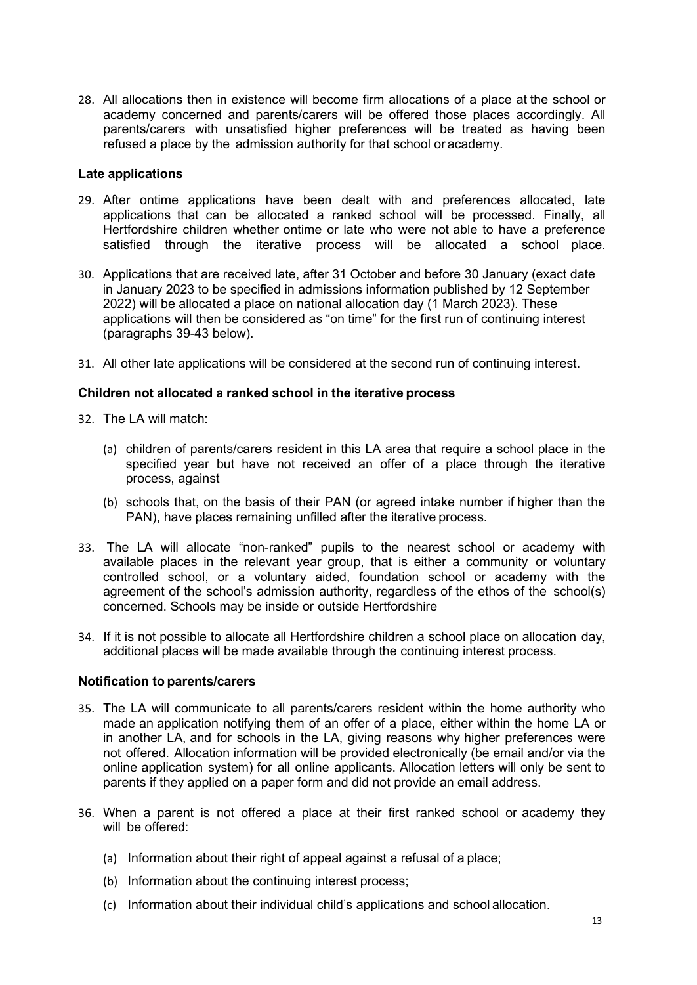28. All allocations then in existence will become firm allocations of a place at the school or academy concerned and parents/carers will be offered those places accordingly. All parents/carers with unsatisfied higher preferences will be treated as having been refused a place by the admission authority for that school or academy.

#### **Late applications**

- 29. After ontime applications have been dealt with and preferences allocated, late applications that can be allocated a ranked school will be processed. Finally, all Hertfordshire children whether ontime or late who were not able to have a preference satisfied through the iterative process will be allocated a school place.
- 30. Applications that are received late, after 31 October and before 30 January (exact date in January 2023 to be specified in admissions information published by 12 September 2022) will be allocated a place on national allocation day (1 March 2023). These applications will then be considered as "on time" for the first run of continuing interest (paragraphs 39-43 below).
- 31. All other late applications will be considered at the second run of continuing interest.

### **Children not allocated a ranked school in the iterative process**

- 32. The LA will match:
	- (a) children of parents/carers resident in this LA area that require a school place in the specified year but have not received an offer of a place through the iterative process, against
	- (b) schools that, on the basis of their PAN (or agreed intake number if higher than the PAN), have places remaining unfilled after the iterative process.
- 33. The LA will allocate "non-ranked" pupils to the nearest school or academy with available places in the relevant year group, that is either a community or voluntary controlled school, or a voluntary aided, foundation school or academy with the agreement of the school's admission authority, regardless of the ethos of the school(s) concerned. Schools may be inside or outside Hertfordshire
- 34. If it is not possible to allocate all Hertfordshire children a school place on allocation day, additional places will be made available through the continuing interest process.

#### **Notification to parents/carers**

- 35. The LA will communicate to all parents/carers resident within the home authority who made an application notifying them of an offer of a place, either within the home LA or in another LA, and for schools in the LA, giving reasons why higher preferences were not offered. Allocation information will be provided electronically (be email and/or via the online application system) for all online applicants. Allocation letters will only be sent to parents if they applied on a paper form and did not provide an email address.
- 36. When a parent is not offered a place at their first ranked school or academy they will be offered:
	- (a) Information about their right of appeal against a refusal of a place;
	- (b) Information about the continuing interest process;
	- (c) Information about their individual child's applications and school allocation.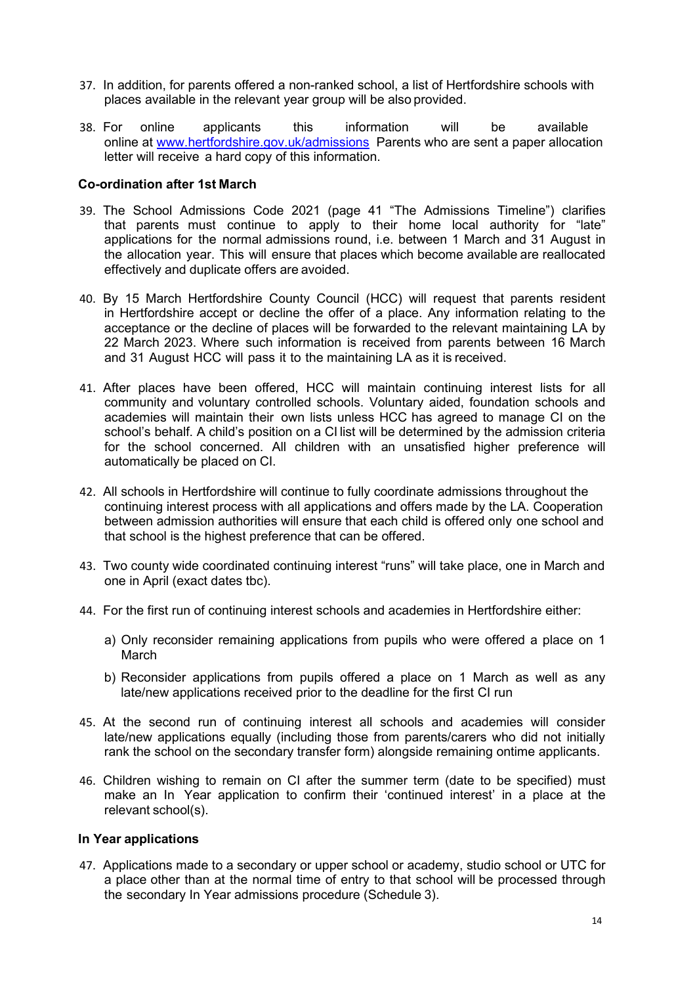- 37. In addition, for parents offered a non-ranked school, a list of Hertfordshire schools with places available in the relevant year group will be also provided.
- 38. For online applicants this information will be available online at [www.hertfordshire.gov.uk/admissions](http://www.hertfordshire.gov.uk/admissions) Parents who are sent a paper allocation letter will receive a hard copy of this information.

### **Co-ordination after 1st March**

- 39. The School Admissions Code 2021 (page 41 "The Admissions Timeline") clarifies that parents must continue to apply to their home local authority for "late" applications for the normal admissions round, i.e. between 1 March and 31 August in the allocation year. This will ensure that places which become available are reallocated effectively and duplicate offers are avoided.
- 40. By 15 March Hertfordshire County Council (HCC) will request that parents resident in Hertfordshire accept or decline the offer of a place. Any information relating to the acceptance or the decline of places will be forwarded to the relevant maintaining LA by 22 March 2023. Where such information is received from parents between 16 March and 31 August HCC will pass it to the maintaining LA as it is received.
- 41. After places have been offered, HCC will maintain continuing interest lists for all community and voluntary controlled schools. Voluntary aided, foundation schools and academies will maintain their own lists unless HCC has agreed to manage CI on the school's behalf. A child's position on a CI list will be determined by the admission criteria for the school concerned. All children with an unsatisfied higher preference will automatically be placed on CI.
- 42. All schools in Hertfordshire will continue to fully coordinate admissions throughout the continuing interest process with all applications and offers made by the LA. Cooperation between admission authorities will ensure that each child is offered only one school and that school is the highest preference that can be offered.
- 43. Two county wide coordinated continuing interest "runs" will take place, one in March and one in April (exact dates tbc).
- 44. For the first run of continuing interest schools and academies in Hertfordshire either:
	- a) Only reconsider remaining applications from pupils who were offered a place on 1 March
	- b) Reconsider applications from pupils offered a place on 1 March as well as any late/new applications received prior to the deadline for the first CI run
- 45. At the second run of continuing interest all schools and academies will consider late/new applications equally (including those from parents/carers who did not initially rank the school on the secondary transfer form) alongside remaining ontime applicants.
- 46. Children wishing to remain on CI after the summer term (date to be specified) must make an In Year application to confirm their 'continued interest' in a place at the relevant school(s).

### **In Year applications**

47. Applications made to a secondary or upper school or academy, studio school or UTC for a place other than at the normal time of entry to that school will be processed through the secondary In Year admissions procedure (Schedule 3).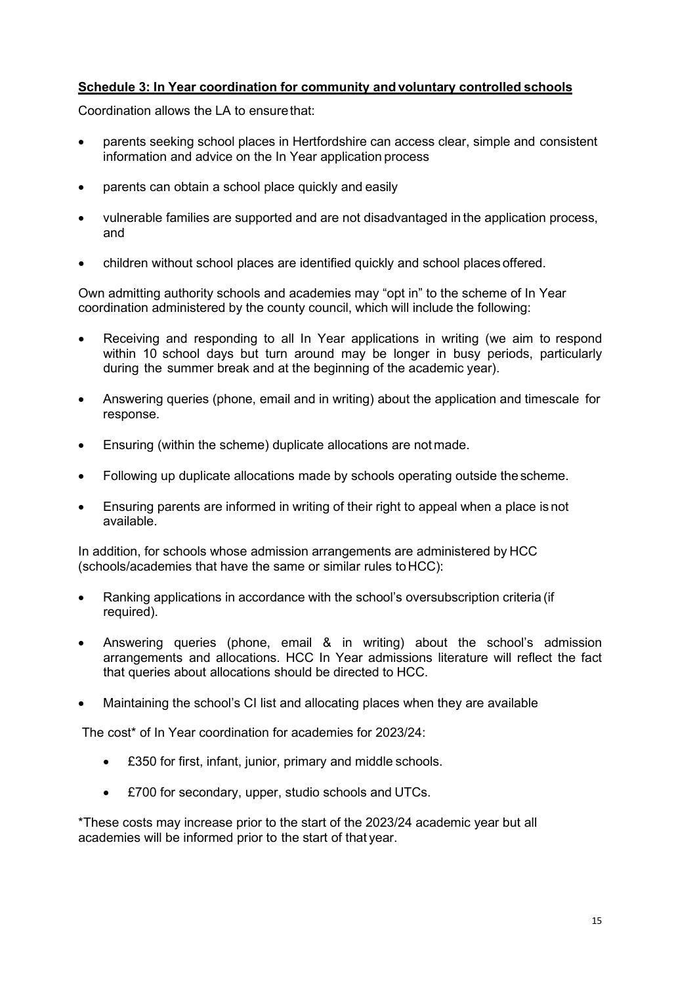# **Schedule 3: In Year coordination for community andvoluntary controlled schools**

Coordination allows the LA to ensurethat:

- parents seeking school places in Hertfordshire can access clear, simple and consistent information and advice on the In Year application process
- parents can obtain a school place quickly and easily
- vulnerable families are supported and are not disadvantaged in the application process, and
- children without school places are identified quickly and school places offered.

Own admitting authority schools and academies may "opt in" to the scheme of In Year coordination administered by the county council, which will include the following:

- Receiving and responding to all In Year applications in writing (we aim to respond within 10 school days but turn around may be longer in busy periods, particularly during the summer break and at the beginning of the academic year).
- Answering queries (phone, email and in writing) about the application and timescale for response.
- Ensuring (within the scheme) duplicate allocations are not made.
- Following up duplicate allocations made by schools operating outside the scheme.
- Ensuring parents are informed in writing of their right to appeal when a place is not available.

In addition, for schools whose admission arrangements are administered by HCC (schools/academies that have the same or similar rules toHCC):

- Ranking applications in accordance with the school's oversubscription criteria (if required).
- Answering queries (phone, email & in writing) about the school's admission arrangements and allocations. HCC In Year admissions literature will reflect the fact that queries about allocations should be directed to HCC.
- Maintaining the school's CI list and allocating places when they are available

The cost\* of In Year coordination for academies for 2023/24:

- £350 for first, infant, junior, primary and middle schools.
- £700 for secondary, upper, studio schools and UTCs.

\*These costs may increase prior to the start of the 2023/24 academic year but all academies will be informed prior to the start of that year.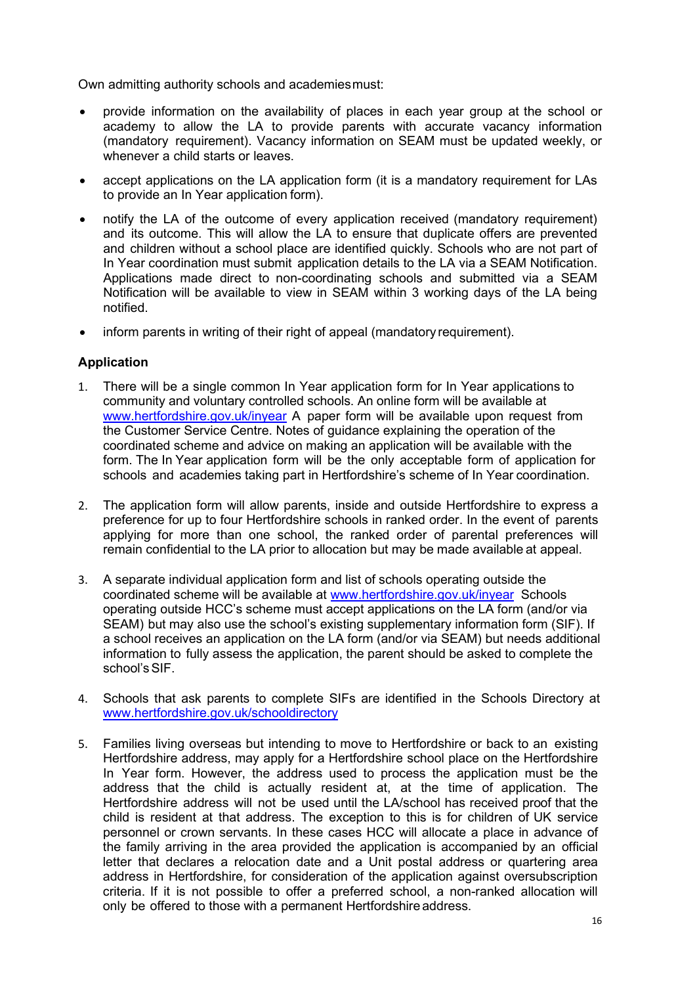Own admitting authority schools and academiesmust:

- provide information on the availability of places in each year group at the school or academy to allow the LA to provide parents with accurate vacancy information (mandatory requirement). Vacancy information on SEAM must be updated weekly, or whenever a child starts or leaves.
- accept applications on the LA application form (it is a mandatory requirement for LAs to provide an In Year application form).
- notify the LA of the outcome of every application received (mandatory requirement) and its outcome. This will allow the LA to ensure that duplicate offers are prevented and children without a school place are identified quickly. Schools who are not part of In Year coordination must submit application details to the LA via a SEAM Notification. Applications made direct to non-coordinating schools and submitted via a SEAM Notification will be available to view in SEAM within 3 working days of the LA being notified.
- inform parents in writing of their right of appeal (mandatory requirement).

# **Application**

- 1. There will be a single common In Year application form for In Year applications to community and voluntary controlled schools. An online form will be available at [www.hertfordshire.gov.uk/inyear](http://www.hertfordshire.gov.uk/inyear) A paper form will be available upon request from the Customer Service Centre. Notes of guidance explaining the operation of the coordinated scheme and advice on making an application will be available with the form. The In Year application form will be the only acceptable form of application for schools and academies taking part in Hertfordshire's scheme of In Year coordination.
- 2. The application form will allow parents, inside and outside Hertfordshire to express a preference for up to four Hertfordshire schools in ranked order. In the event of parents applying for more than one school, the ranked order of parental preferences will remain confidential to the LA prior to allocation but may be made available at appeal.
- 3. A separate individual application form and list of schools operating outside the coordinated scheme will be available at [www.hertfordshire.gov.uk/inyear](http://www.hertfordshire.gov.uk/inyear) Schools operating outside HCC's scheme must accept applications on the LA form (and/or via SEAM) but may also use the school's existing supplementary information form (SIF). If a school receives an application on the LA form (and/or via SEAM) but needs additional information to fully assess the application, the parent should be asked to complete the school's SIF.
- 4. Schools that ask parents to complete SIFs are identified in the Schools Directory at [www.hertfordshire.gov.uk/schooldirectory](http://www.hertfordshire.gov.uk/schooldirectory)
- 5. Families living overseas but intending to move to Hertfordshire or back to an existing Hertfordshire address, may apply for a Hertfordshire school place on the Hertfordshire In Year form. However, the address used to process the application must be the address that the child is actually resident at, at the time of application. The Hertfordshire address will not be used until the LA/school has received proof that the child is resident at that address. The exception to this is for children of UK service personnel or crown servants. In these cases HCC will allocate a place in advance of the family arriving in the area provided the application is accompanied by an official letter that declares a relocation date and a Unit postal address or quartering area address in Hertfordshire, for consideration of the application against oversubscription criteria. If it is not possible to offer a preferred school, a non-ranked allocation will only be offered to those with a permanent Hertfordshire address.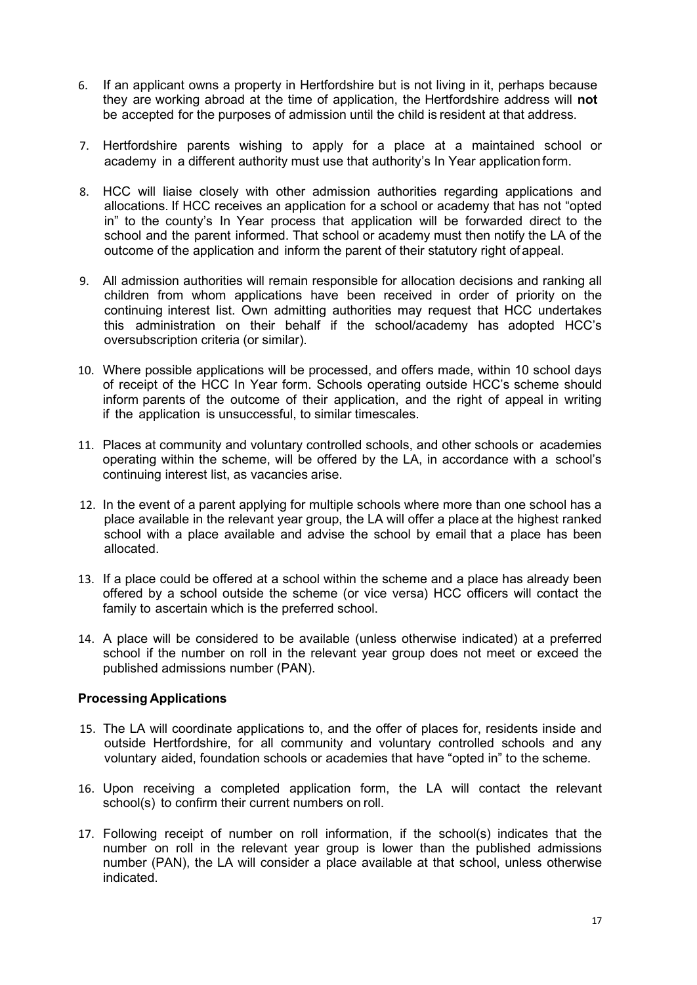- 6. If an applicant owns a property in Hertfordshire but is not living in it, perhaps because they are working abroad at the time of application, the Hertfordshire address will **not** be accepted for the purposes of admission until the child is resident at that address.
- 7. Hertfordshire parents wishing to apply for a place at a maintained school or academy in a different authority must use that authority's In Year application form.
- 8. HCC will liaise closely with other admission authorities regarding applications and allocations. If HCC receives an application for a school or academy that has not "opted in" to the county's In Year process that application will be forwarded direct to the school and the parent informed. That school or academy must then notify the LA of the outcome of the application and inform the parent of their statutory right of appeal.
- 9. All admission authorities will remain responsible for allocation decisions and ranking all children from whom applications have been received in order of priority on the continuing interest list. Own admitting authorities may request that HCC undertakes this administration on their behalf if the school/academy has adopted HCC's oversubscription criteria (or similar).
- 10. Where possible applications will be processed, and offers made, within 10 school days of receipt of the HCC In Year form. Schools operating outside HCC's scheme should inform parents of the outcome of their application, and the right of appeal in writing if the application is unsuccessful, to similar timescales.
- 11. Places at community and voluntary controlled schools, and other schools or academies operating within the scheme, will be offered by the LA, in accordance with a school's continuing interest list, as vacancies arise.
- 12. In the event of a parent applying for multiple schools where more than one school has a place available in the relevant year group, the LA will offer a place at the highest ranked school with a place available and advise the school by email that a place has been allocated.
- 13. If a place could be offered at a school within the scheme and a place has already been offered by a school outside the scheme (or vice versa) HCC officers will contact the family to ascertain which is the preferred school.
- 14. A place will be considered to be available (unless otherwise indicated) at a preferred school if the number on roll in the relevant year group does not meet or exceed the published admissions number (PAN).

### **Processing Applications**

- 15. The LA will coordinate applications to, and the offer of places for, residents inside and outside Hertfordshire, for all community and voluntary controlled schools and any voluntary aided, foundation schools or academies that have "opted in" to the scheme.
- 16. Upon receiving a completed application form, the LA will contact the relevant school(s) to confirm their current numbers on roll.
- 17. Following receipt of number on roll information, if the school(s) indicates that the number on roll in the relevant year group is lower than the published admissions number (PAN), the LA will consider a place available at that school, unless otherwise indicated.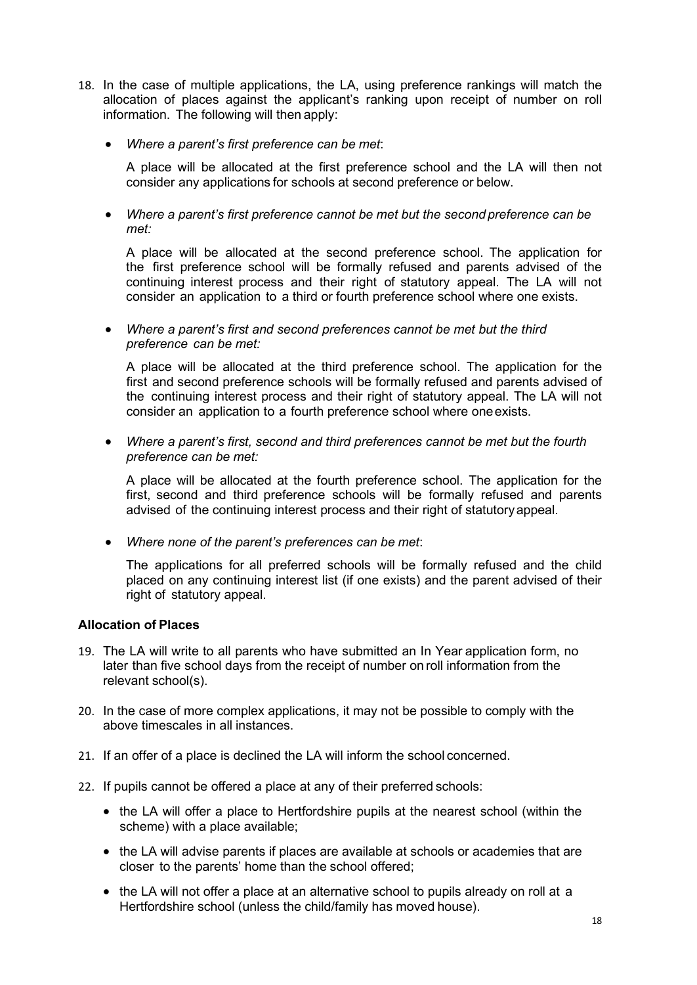- 18. In the case of multiple applications, the LA, using preference rankings will match the allocation of places against the applicant's ranking upon receipt of number on roll information. The following will then apply:
	- *Where a parent's first preference can be met*:

A place will be allocated at the first preference school and the LA will then not consider any applications for schools at second preference or below.

• *Where a parent's first preference cannot be met but the second preference can be met:*

A place will be allocated at the second preference school. The application for the first preference school will be formally refused and parents advised of the continuing interest process and their right of statutory appeal. The LA will not consider an application to a third or fourth preference school where one exists.

• *Where a parent's first and second preferences cannot be met but the third preference can be met:*

A place will be allocated at the third preference school. The application for the first and second preference schools will be formally refused and parents advised of the continuing interest process and their right of statutory appeal. The LA will not consider an application to a fourth preference school where oneexists.

• *Where a parent's first, second and third preferences cannot be met but the fourth preference can be met:*

A place will be allocated at the fourth preference school. The application for the first, second and third preference schools will be formally refused and parents advised of the continuing interest process and their right of statutoryappeal.

• *Where none of the parent's preferences can be met*:

The applications for all preferred schools will be formally refused and the child placed on any continuing interest list (if one exists) and the parent advised of their right of statutory appeal.

### **Allocation of Places**

- 19. The LA will write to all parents who have submitted an In Year application form, no later than five school days from the receipt of number on roll information from the relevant school(s).
- 20. In the case of more complex applications, it may not be possible to comply with the above timescales in all instances.
- 21. If an offer of a place is declined the LA will inform the school concerned.
- 22. If pupils cannot be offered a place at any of their preferred schools:
	- the LA will offer a place to Hertfordshire pupils at the nearest school (within the scheme) with a place available;
	- the LA will advise parents if places are available at schools or academies that are closer to the parents' home than the school offered;
	- the LA will not offer a place at an alternative school to pupils already on roll at a Hertfordshire school (unless the child/family has moved house).